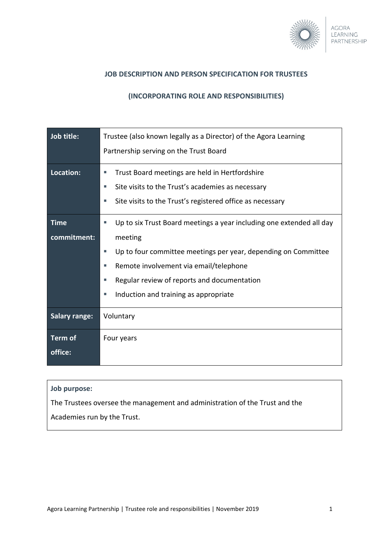

### **JOB DESCRIPTION AND PERSON SPECIFICATION FOR TRUSTEES**

### **(INCORPORATING ROLE AND RESPONSIBILITIES)**

| Job title:                 | Trustee (also known legally as a Director) of the Agora Learning<br>Partnership serving on the Trust Board                                                                                                                                                                                                     |
|----------------------------|----------------------------------------------------------------------------------------------------------------------------------------------------------------------------------------------------------------------------------------------------------------------------------------------------------------|
| Location:                  | Trust Board meetings are held in Hertfordshire<br>ш<br>Site visits to the Trust's academies as necessary<br>ш<br>Site visits to the Trust's registered office as necessary<br>ш                                                                                                                                |
| <b>Time</b><br>commitment: | Up to six Trust Board meetings a year including one extended all day<br>ш<br>meeting<br>Up to four committee meetings per year, depending on Committee<br>ш<br>Remote involvement via email/telephone<br>ш<br>Regular review of reports and documentation<br>I.<br>Induction and training as appropriate<br>u, |
| <b>Salary range:</b>       | Voluntary                                                                                                                                                                                                                                                                                                      |
| <b>Term of</b><br>office:  | Four years                                                                                                                                                                                                                                                                                                     |

### **Job purpose:**

The Trustees oversee the management and administration of the Trust and the

Academies run by the Trust.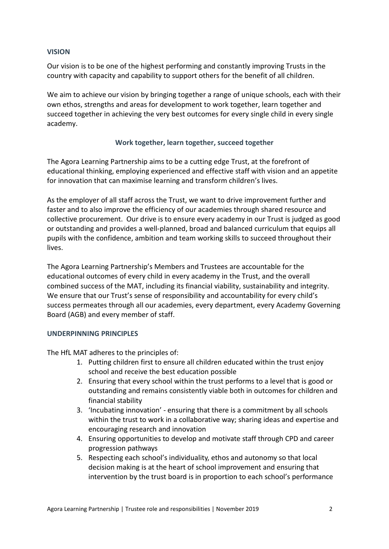### **VISION**

Our vision is to be one of the highest performing and constantly improving Trusts in the country with capacity and capability to support others for the benefit of all children.

We aim to achieve our vision by bringing together a range of unique schools, each with their own ethos, strengths and areas for development to work together, learn together and succeed together in achieving the very best outcomes for every single child in every single academy.

# **Work together, learn together, succeed together**

The Agora Learning Partnership aims to be a cutting edge Trust, at the forefront of educational thinking, employing experienced and effective staff with vision and an appetite for innovation that can maximise learning and transform children's lives.

As the employer of all staff across the Trust, we want to drive improvement further and faster and to also improve the efficiency of our academies through shared resource and collective procurement. Our drive is to ensure every academy in our Trust is judged as good or outstanding and provides a well-planned, broad and balanced curriculum that equips all pupils with the confidence, ambition and team working skills to succeed throughout their lives.

The Agora Learning Partnership's Members and Trustees are accountable for the educational outcomes of every child in every academy in the Trust, and the overall combined success of the MAT, including its financial viability, sustainability and integrity. We ensure that our Trust's sense of responsibility and accountability for every child's success permeates through all our academies, every department, every Academy Governing Board (AGB) and every member of staff.

### **UNDERPINNING PRINCIPLES**

The HfL MAT adheres to the principles of:

- 1. Putting children first to ensure all children educated within the trust enjoy school and receive the best education possible
- 2. Ensuring that every school within the trust performs to a level that is good or outstanding and remains consistently viable both in outcomes for children and financial stability
- 3. 'Incubating innovation' ensuring that there is a commitment by all schools within the trust to work in a collaborative way; sharing ideas and expertise and encouraging research and innovation
- 4. Ensuring opportunities to develop and motivate staff through CPD and career progression pathways
- 5. Respecting each school's individuality, ethos and autonomy so that local decision making is at the heart of school improvement and ensuring that intervention by the trust board is in proportion to each school's performance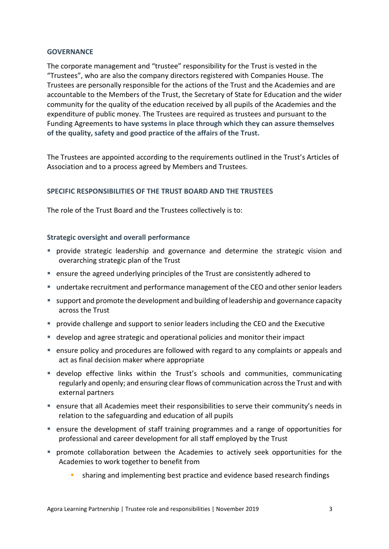### **GOVERNANCE**

The corporate management and "trustee" responsibility for the Trust is vested in the "Trustees", who are also the company directors registered with Companies House. The Trustees are personally responsible for the actions of the Trust and the Academies and are accountable to the Members of the Trust, the Secretary of State for Education and the wider community for the quality of the education received by all pupils of the Academies and the expenditure of public money. The Trustees are required as trustees and pursuant to the Funding Agreements **to have systems in place through which they can assure themselves of the quality, safety and good practice of the affairs of the Trust.**

The Trustees are appointed according to the requirements outlined in the Trust's Articles of Association and to a process agreed by Members and Trustees.

# **SPECIFIC RESPONSIBILITIES OF THE TRUST BOARD AND THE TRUSTEES**

The role of the Trust Board and the Trustees collectively is to:

### **Strategic oversight and overall performance**

- provide strategic leadership and governance and determine the strategic vision and overarching strategic plan of the Trust
- ensure the agreed underlying principles of the Trust are consistently adhered to
- undertake recruitment and performance management of the CEO and other senior leaders
- support and promote the development and building of leadership and governance capacity across the Trust
- **Perovide challenge and support to senior leaders including the CEO and the Executive**
- develop and agree strategic and operational policies and monitor their impact
- ensure policy and procedures are followed with regard to any complaints or appeals and act as final decision maker where appropriate
- develop effective links within the Trust's schools and communities, communicating regularly and openly; and ensuring clear flows of communication across the Trust and with external partners
- ensure that all Academies meet their responsibilities to serve their community's needs in relation to the safeguarding and education of all pupils
- ensure the development of staff training programmes and a range of opportunities for professional and career development for all staff employed by the Trust
- promote collaboration between the Academies to actively seek opportunities for the Academies to work together to benefit from
	- sharing and implementing best practice and evidence based research findings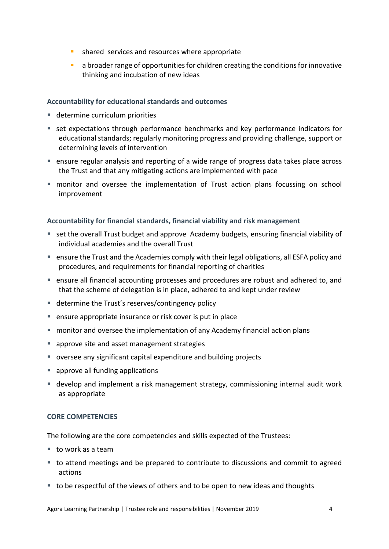- **shared services and resources where appropriate**
- **a** broader range of opportunities for children creating the conditions for innovative thinking and incubation of new ideas

# **Accountability for educational standards and outcomes**

- determine curriculum priorities
- set expectations through performance benchmarks and key performance indicators for educational standards; regularly monitoring progress and providing challenge, support or determining levels of intervention
- ensure regular analysis and reporting of a wide range of progress data takes place across the Trust and that any mitigating actions are implemented with pace
- monitor and oversee the implementation of Trust action plans focussing on school improvement

# **Accountability for financial standards, financial viability and risk management**

- set the overall Trust budget and approve Academy budgets, ensuring financial viability of individual academies and the overall Trust
- ensure the Trust and the Academies comply with their legal obligations, all ESFA policy and procedures, and requirements for financial reporting of charities
- ensure all financial accounting processes and procedures are robust and adhered to, and that the scheme of delegation is in place, adhered to and kept under review
- determine the Trust's reserves/contingency policy
- ensure appropriate insurance or risk cover is put in place
- monitor and oversee the implementation of any Academy financial action plans
- **approve site and asset management strategies**
- oversee any significant capital expenditure and building projects
- **approve all funding applications**
- develop and implement a risk management strategy, commissioning internal audit work as appropriate

### **CORE COMPETENCIES**

The following are the core competencies and skills expected of the Trustees:

- $\blacksquare$  to work as a team
- to attend meetings and be prepared to contribute to discussions and commit to agreed actions
- $\blacksquare$  to be respectful of the views of others and to be open to new ideas and thoughts

Agora Learning Partnership | Trustee role and responsibilities | November 2019 4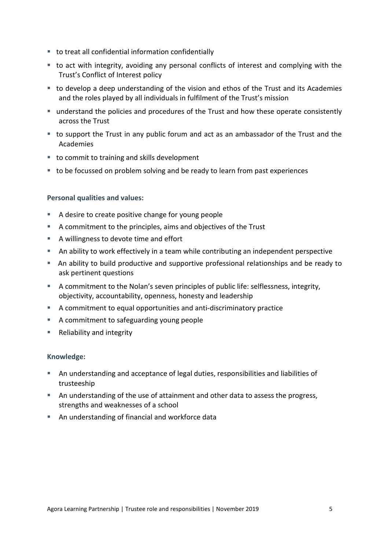- to treat all confidential information confidentially
- to act with integrity, avoiding any personal conflicts of interest and complying with the Trust's Conflict of Interest policy
- to develop a deep understanding of the vision and ethos of the Trust and its Academies and the roles played by all individuals in fulfilment of the Trust's mission
- understand the policies and procedures of the Trust and how these operate consistently across the Trust
- to support the Trust in any public forum and act as an ambassador of the Trust and the Academies
- to commit to training and skills development
- to be focussed on problem solving and be ready to learn from past experiences

# **Personal qualities and values:**

- A desire to create positive change for young people
- A commitment to the principles, aims and objectives of the Trust
- A willingness to devote time and effort
- An ability to work effectively in a team while contributing an independent perspective
- An ability to build productive and supportive professional relationships and be ready to ask pertinent questions
- A commitment to the Nolan's seven principles of public life: selflessness, integrity, objectivity, accountability, openness, honesty and leadership
- A commitment to equal opportunities and anti-discriminatory practice
- A commitment to safeguarding young people
- Reliability and integrity

### **Knowledge:**

- An understanding and acceptance of legal duties, responsibilities and liabilities of trusteeship
- An understanding of the use of attainment and other data to assess the progress, strengths and weaknesses of a school
- An understanding of financial and workforce data